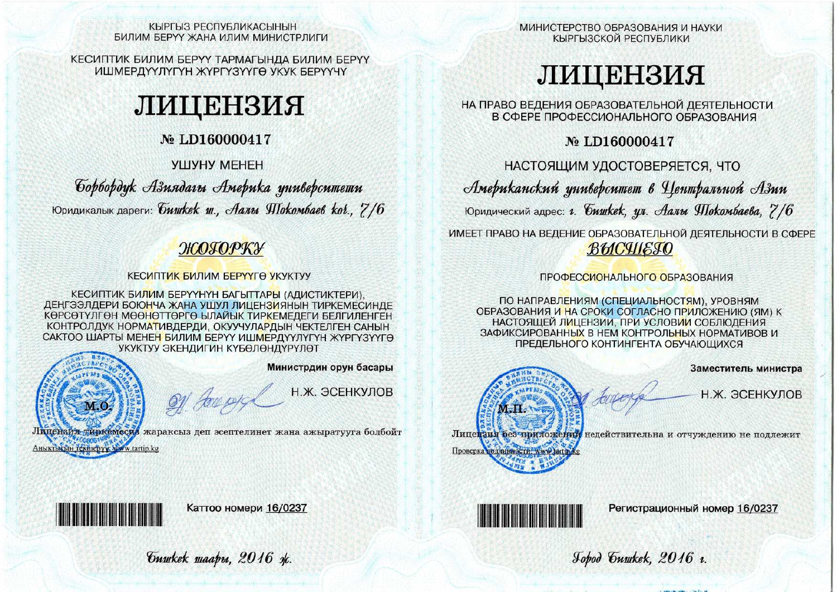#### КЫРГЫЗ РЕСПУБЛИКАСЫНЫН БИЛИМ БЕРҮҮ ЖАНА ИЛИМ МИНИСТРЛИГИ

КЕСИПТИК БИЛИМ БЕРҮҮ ТАРМАГЫНДА БИЛИМ БЕРҮҮ ИШМЕРДҮҮЛҮГҮН ЖҮРГҮЗҮҮГӨ УКУК БЕРҮҮЧҮ

## ЛИЦЕНЗИЯ

## № LD160000417

УШУНУ МЕНЕН

Gopbopdyk Азиядагы Америка университети Юридикалык дареги: *бишкек ш., Аалы ЯЛокомбаев ког.*, 7/6

## ЖОГОРКУ

### **КЕСИПТИК БИЛИМ БЕРҮҮГӨ УКУКТУУ**

КЕСИПТИК БИЛИМ БЕРҮҮНҮН БАГЫТТАРЫ (АЛИСТИКТЕРИ). ДЕҢГЭЭЛДЕРИ БОЮНЧА ЖАНА УШУЛ ЛИЦЕНЗИЯНЫН ТИРКЕМЕСИНДЕ КӨРСӨТҮЛГӨН МӨӨНӨТТӨРГӨ ЫЛАЙЫК ТИРКЕМЕЛЕГИ БЕЛГИЛЕНГЕН КОНТРОЛДУК НОРМАТИВДЕРДИ, ОКУУЧУЛАРДЫН ЧЕКТЕЛГЕН САНЫН САКТОО ШАРТЫ МЕНЕН БИЛИМ БЕРҮҮ ИШМЕРДҮҮЛҮГҮН ЖҮРГҮЗҮҮГӨ УКУКТУУ ЭКЕНДИГИН КҮБӨЛӨНДҮРҮЛӨТ

21 Jacobel

Министрдин орун басары

Н.Ж. ЭСЕНКУЛОВ

Лицензия тиркемесие жараксыз деп эсептелинет жана ажыратууга болбойт Аныктыкын текінерүү: www.tartip.kg

Guwkek waapu, 2016 ok.

Каттоо номери 16/0237

МИНИСТЕРСТВО ОБРАЗОВАНИЯ И НАУКИ КЫРГЫЗСКОЙ РЕСПУБЛИКИ

# ЛИЦЕНЗИЯ

НА ПРАВО ВЕДЕНИЯ ОБРАЗОВАТЕЛЬНОЙ ДЕЯТЕЛЬНОСТИ В СФЕРЕ ПРОФЕССИОНАЛЬНОГО ОБРАЗОВАНИЯ

№ LD160000417

НАСТОЯЩИМ УДОСТОВЕРЯЕТСЯ, ЧТО Американский университет в Центральной Азии Юридический адрес: г. *бишкек*, ул. Аалы Шокомбаева, 7/6 ИМЕЕТ ПРАВО НА ВЕДЕНИЕ ОБРАЗОВАТЕЛЬНОЙ ДЕЯТЕЛЬНОСТИ В СФЕРЕ

# ВЫСЧІЕГО

### ПРОФЕССИОНАЛЬНОГО ОБРАЗОВАНИЯ

ПО НАПРАВЛЕНИЯМ (СПЕЦИАЛЬНОСТЯМ), УРОВНЯМ ОБРАЗОВАНИЯ И НА СРОКИ СОГЛАСНО ПРИЛОЖЕНИЮ (ЯМ) К НАСТОЯЩЕЙ ЛИЦЕНЗИИ. ПРИ УСЛОВИИ СОБЛЮДЕНИЯ ЗАФИКСИРОВАННЫХ В НЕМ КОНТРОЛЬНЫХ НОРМАТИВОВ И ПРЕДЕЛЬНОГО КОНТИНГЕНТА ОБУЧАЮЩИХСЯ



Заместитель министра

Н.Ж. ЭСЕНКУЛОВ



Регистрационный номер 16/0237

Jobod Guwkek, 2016 v.